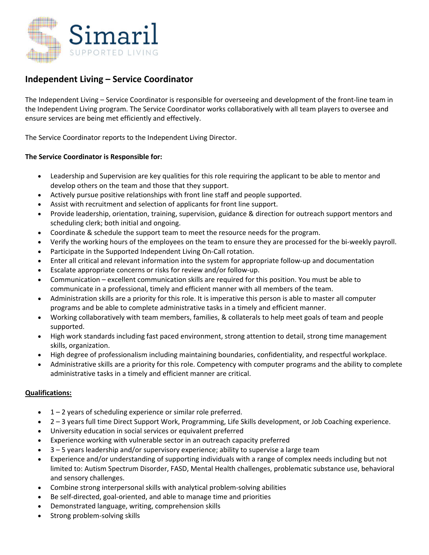

# **Independent Living – Service Coordinator**

The Independent Living – Service Coordinator is responsible for overseeing and development of the front‐line team in the Independent Living program. The Service Coordinator works collaboratively with all team players to oversee and ensure services are being met efficiently and effectively.

The Service Coordinator reports to the Independent Living Director.

## **The Service Coordinator is Responsible for:**

- Leadership and Supervision are key qualities for this role requiring the applicant to be able to mentor and develop others on the team and those that they support.
- Actively pursue positive relationships with front line staff and people supported.
- Assist with recruitment and selection of applicants for front line support.
- Provide leadership, orientation, training, supervision, guidance & direction for outreach support mentors and scheduling clerk; both initial and ongoing.
- Coordinate & schedule the support team to meet the resource needs for the program.
- Verify the working hours of the employees on the team to ensure they are processed for the bi‐weekly payroll.
- Participate in the Supported Independent Living On‐Call rotation.
- Enter all critical and relevant information into the system for appropriate follow‐up and documentation
- Escalate appropriate concerns or risks for review and/or follow‐up.
- Communication excellent communication skills are required for this position. You must be able to communicate in a professional, timely and efficient manner with all members of the team.
- Administration skills are a priority for this role. It is imperative this person is able to master all computer programs and be able to complete administrative tasks in a timely and efficient manner.
- Working collaboratively with team members, families, & collaterals to help meet goals of team and people supported.
- High work standards including fast paced environment, strong attention to detail, strong time management skills, organization.
- High degree of professionalism including maintaining boundaries, confidentiality, and respectful workplace.
- Administrative skills are a priority for this role. Competency with computer programs and the ability to complete administrative tasks in a timely and efficient manner are critical.

### **Qualifications:**

- 1 2 years of scheduling experience or similar role preferred.
- 2 3 years full time Direct Support Work, Programming, Life Skills development, or Job Coaching experience.
- University education in social services or equivalent preferred
- Experience working with vulnerable sector in an outreach capacity preferred
- 3 5 years leadership and/or supervisory experience; ability to supervise a large team
- Experience and/or understanding of supporting individuals with a range of complex needs including but not limited to: Autism Spectrum Disorder, FASD, Mental Health challenges, problematic substance use, behavioral and sensory challenges.
- Combine strong interpersonal skills with analytical problem‐solving abilities
- Be self‐directed, goal‐oriented, and able to manage time and priorities
- Demonstrated language, writing, comprehension skills
- Strong problem‐solving skills